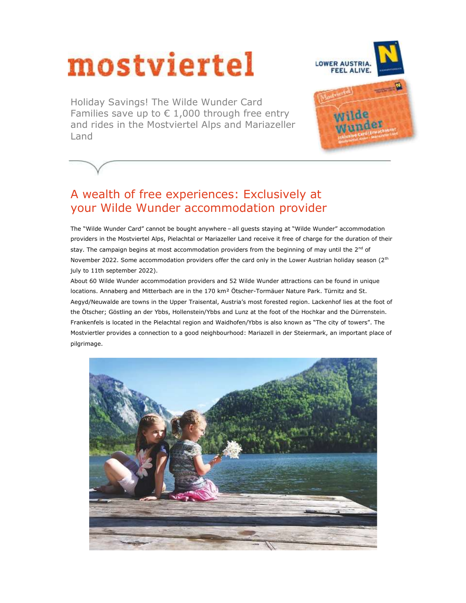# mostviertel

Holiday Savings! The Wilde Wunder Card Families save up to  $\epsilon$  1,000 through free entry and rides in the Mostviertel Alps and Mariazeller Land



# A wealth of free experiences: Exclusively at your Wilde Wunder accommodation provider

The "Wilde Wunder Card" cannot be bought anywhere – all guests staying at "Wilde Wunder" accommodation providers in the Mostviertel Alps, Pielachtal or Mariazeller Land receive it free of charge for the duration of their stay. The campaign begins at most accommodation providers from the beginning of may until the  $2<sup>nd</sup>$  of November 2022. Some accommodation providers offer the card only in the Lower Austrian holiday season (2<sup>th</sup> july to 11th september 2022).

About 60 Wilde Wunder accommodation providers and 52 Wilde Wunder attractions can be found in unique locations. Annaberg and Mitterbach are in the 170 km² Ötscher-Tormäuer Nature Park. Türnitz and St. Aegyd/Neuwalde are towns in the Upper Traisental, Austria's most forested region. Lackenhof lies at the foot of the Ötscher; Göstling an der Ybbs, Hollenstein/Ybbs and Lunz at the foot of the Hochkar and the Dürrenstein. Frankenfels is located in the Pielachtal region and Waidhofen/Ybbs is also known as "The city of towers". The Mostviertler provides a connection to a good neighbourhood: Mariazell in der Steiermark, an important place of pilgrimage.

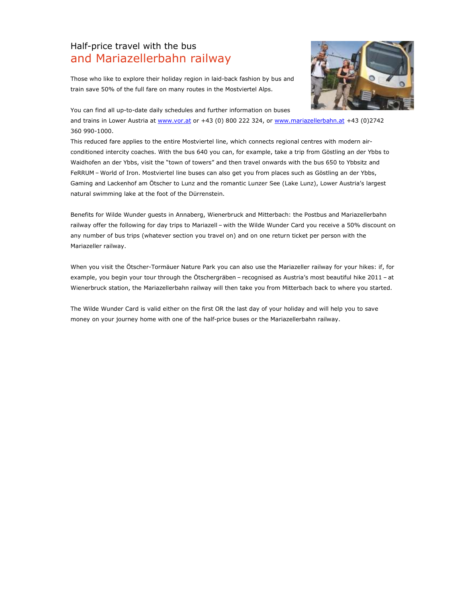# Half-price travel with the bus and Mariazellerbahn railway



Those who like to explore their holiday region in laid-back fashion by bus and train save 50% of the full fare on many routes in the Mostviertel Alps.

You can find all up-to-date daily schedules and further information on buses

and trains in Lower Austria at www.vor.at or +43 (0) 800 222 324, or www.mariazellerbahn.at +43 (0)2742 360 990-1000.

This reduced fare applies to the entire Mostviertel line, which connects regional centres with modern airconditioned intercity coaches. With the bus 640 you can, for example, take a trip from Göstling an der Ybbs to Waidhofen an der Ybbs, visit the "town of towers" and then travel onwards with the bus 650 to Ybbsitz and FeRRUM – World of Iron. Mostviertel line buses can also get you from places such as Göstling an der Ybbs, Gaming and Lackenhof am Ötscher to Lunz and the romantic Lunzer See (Lake Lunz), Lower Austria's largest natural swimming lake at the foot of the Dürrenstein.

Benefits for Wilde Wunder guests in Annaberg, Wienerbruck and Mitterbach: the Postbus and Mariazellerbahn railway offer the following for day trips to Mariazell – with the Wilde Wunder Card you receive a 50% discount on any number of bus trips (whatever section you travel on) and on one return ticket per person with the Mariazeller railway.

When you visit the Ötscher-Tormäuer Nature Park you can also use the Mariazeller railway for your hikes: if, for example, you begin your tour through the Ötschergräben – recognised as Austria's most beautiful hike 2011 – at Wienerbruck station, the Mariazellerbahn railway will then take you from Mitterbach back to where you started.

The Wilde Wunder Card is valid either on the first OR the last day of your holiday and will help you to save money on your journey home with one of the half-price buses or the Mariazellerbahn railway.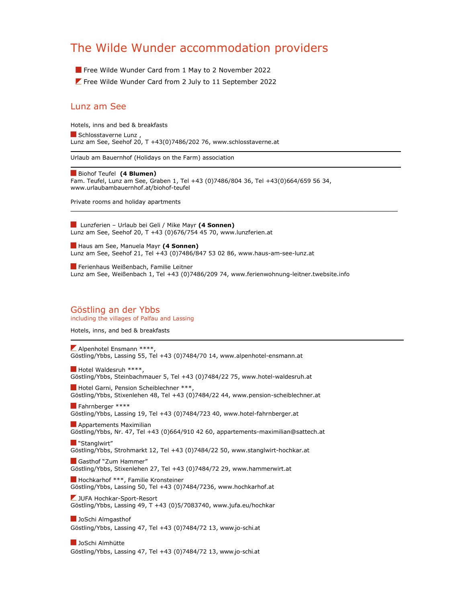# The Wilde Wunder accommodation providers

Free Wilde Wunder Card from 1 May to 2 November 2022

**Z** Free Wilde Wunder Card from 2 July to 11 September 2022

## Lunz am See

Hotels, inns and bed & breakfasts Schlosstaverne Lunz, Lunz am See, Seehof 20, T +43(0)7486/202 76, www.schlosstaverne.at

Urlaub am Bauernhof (Holidays on the Farm) association

Biohof Teufel (4 Blumen) Fam. Teufel, Lunz am See, Graben 1, Tel +43 (0)7486/804 36, Tel +43(0)664/659 56 34, www.urlaubambauernhof.at/biohof-teufel

\_\_\_\_\_\_\_\_\_\_\_\_\_\_\_\_\_\_\_\_\_\_\_\_\_\_\_\_\_\_\_\_\_\_\_\_\_\_\_\_\_\_\_\_\_\_\_\_\_\_\_\_\_\_\_\_\_\_\_\_\_\_\_\_\_\_\_\_\_\_\_\_\_\_\_\_\_\_\_\_\_\_\_\_\_\_\_\_\_\_

Private rooms and holiday apartments

Lunzferien – Urlaub bei Geli / Mike Mayr (4 Sonnen) Lunz am See, Seehof 20, T +43 (0)676/754 45 70, www.lunzferien.at

Haus am See, Manuela Mayr (4 Sonnen) Lunz am See, Seehof 21, Tel +43 (0)7486/847 53 02 86, www.haus-am-see-lunz.at

Ferienhaus Weißenbach, Familie Leitner Lunz am See, Weißenbach 1, Tel +43 (0)7486/209 74, www.ferienwohnung-leitner.twebsite.info

#### Göstling an der Ybbs including the villages of Palfau and Lassing

Hotels, inns, and bed & breakfasts

 $\blacktriangleright$  Alpenhotel Ensmann \*\*\*\*, Göstling/Ybbs, Lassing 55, Tel +43 (0)7484/70 14, www.alpenhotel-ensmann.at

Hotel Waldesruh \*\*\*\*, Göstling/Ybbs, Steinbachmauer 5, Tel +43 (0)7484/22 75, www.hotel-waldesruh.at

Hotel Garni, Pension Scheiblechner \*\*\*, Göstling/Ybbs, Stixenlehen 48, Tel +43 (0)7484/22 44, www.pension-scheiblechner.at

**Fahrnberger \*\*\*\*** Göstling/Ybbs, Lassing 19, Tel +43 (0)7484/723 40, www.hotel-fahrnberger.at

**Appartements Maximilian** Göstling/Ybbs, Nr. 47, Tel +43 (0)664/910 42 60, appartements-maximilian@sattech.at

**N** "Stanglwirt" Göstling/Ybbs, Strohmarkt 12, Tel +43 (0)7484/22 50, www.stanglwirt-hochkar.at

Gasthof "Zum Hammer" Göstling/Ybbs, Stixenlehen 27, Tel +43 (0)7484/72 29, www.hammerwirt.at

 Hochkarhof \*\*\*, Familie Kronsteiner Göstling/Ybbs, Lassing 50, Tel +43 (0)7484/7236, www.hochkarhof.at

JUFA Hochkar-Sport-Resort Göstling/Ybbs, Lassing 49, T +43 (0)5/7083740, www.jufa.eu/hochkar

**JoSchi Almgasthof** Göstling/Ybbs, Lassing 47, Tel +43 (0)7484/72 13, www.jo-schi.at

**JoSchi Almhütte** Göstling/Ybbs, Lassing 47, Tel +43 (0)7484/72 13, www.jo-schi.at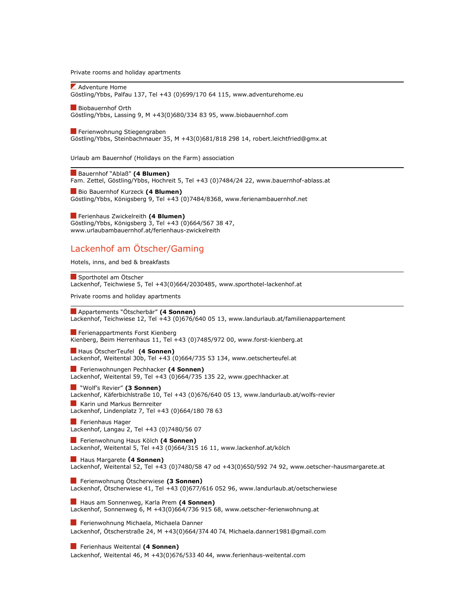Private rooms and holiday apartments

**Z** Adventure Home Göstling/Ybbs, Palfau 137, Tel +43 (0)699/170 64 115, www.adventurehome.eu

Biobauernhof Orth Göstling/Ybbs, Lassing 9, M +43(0)680/334 83 95, www.biobauernhof.com

Ferienwohnung Stiegengraben

Göstling/Ybbs, Steinbachmauer 35, M +43(0)681/818 298 14, robert.leichtfried@gmx.at

Urlaub am Bauernhof (Holidays on the Farm) association

Bauernhof "Ablaß" (4 Blumen) Fam. Zettel, Göstling/Ybbs, Hochreit 5, Tel +43 (0)7484/24 22, www.bauernhof-ablass.at

Bio Bauernhof Kurzeck (4 Blumen) Göstling/Ybbs, Königsberg 9, Tel +43 (0)7484/8368, www.ferienambauernhof.net

Ferienhaus Zwickelreith (4 Blumen) Göstling/Ybbs, Königsberg 3, Tel +43 (0)664/567 38 47, www.urlaubambauernhof.at/ferienhaus-zwickelreith

## Lackenhof am Ötscher/Gaming

Hotels, inns, and bed & breakfasts

Sporthotel am Ötscher Lackenhof, Teichwiese 5, Tel +43(0)664/2030485, www.sporthotel-lackenhof.at

Private rooms and holiday apartments

#### Appartements "Ötscherbär" (4 Sonnen)

Lackenhof, Teichwiese 12, Tel +43 (0)676/640 05 13, www.landurlaub.at/familienappartement

**Ferienappartments Forst Kienberg** Kienberg, Beim Herrenhaus 11, Tel +43 (0)7485/972 00, www.forst-kienberg.at

Haus ÖtscherTeufel (4 Sonnen) Lackenhof, Weitental 30b, Tel +43 (0)664/735 53 134, www.oetscherteufel.at

Ferienwohnungen Pechhacker (4 Sonnen) Lackenhof, Weitental 59, Tel +43 (0)664/735 135 22, www.gpechhacker.at

**N** "Wolf's Revier" (3 Sonnen)

Lackenhof, Käferbichlstraße 10, Tel +43 (0)676/640 05 13, www.landurlaub.at/wolfs-revier **Karin und Markus Bernreiter** 

Lackenhof, Lindenplatz 7, Tel +43 (0)664/180 78 63

Ferienhaus Hager Lackenhof, Langau 2, Tel +43 (0)7480/56 07

**Ferienwohnung Haus Kölch (4 Sonnen)** Lackenhof, Weitental 5, Tel +43 (0)664/315 16 11, www.lackenhof.at/kölch

Haus Margarete (4 Sonnen) Lackenhof, Weitental 52, Tel +43 (0)7480/58 47 od +43(0)650/592 74 92, www.oetscher-hausmargarete.at

Ferienwohnung Ötscherwiese (3 Sonnen) Lackenhof, Ötscherwiese 41, Tel +43 (0)677/616 052 96, www.landurlaub.at/oetscherwiese

Haus am Sonnenweg, Karla Prem (4 Sonnen) Lackenhof, Sonnenweg 6, M +43(0)664/736 915 68, www.oetscher-ferienwohnung.at

**Ferienwohnung Michaela, Michaela Danner** Lackenhof, Ötscherstraße 24, M +43(0)664/374 40 74, Michaela.danner1981@gmail.com

**Ferienhaus Weitental (4 Sonnen)** 

Lackenhof, Weitental 46, M +43(0)676/533 40 44, www.ferienhaus-weitental.com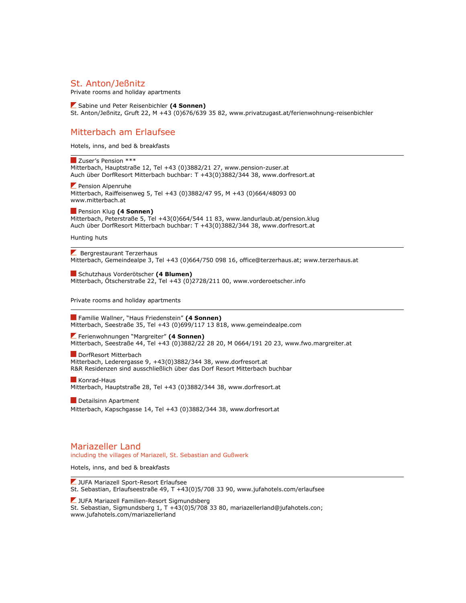### St. Anton/Jeßnitz

Private rooms and holiday apartments

 Sabine und Peter Reisenbichler (4 Sonnen) St. Anton/Jeßnitz, Gruft 22, M +43 (0)676/639 35 82, www.privatzugast.at/ferienwohnung-reisenbichler

## Mitterbach am Erlaufsee

Hotels, inns, and bed & breakfasts

**Zuser's Pension \*\*\*** Mitterbach, Hauptstraße 12, Tel +43 (0)3882/21 27, www.pension-zuser.at Auch über DorfResort Mitterbach buchbar: T +43(0)3882/344 38, www.dorfresort.at

 $\blacktriangleright$  Pension Alpenruhe Mitterbach, Raiffeisenweg 5, Tel +43 (0)3882/47 95, M +43 (0)664/48093 00 www.mitterbach.at

**Pension Klug (4 Sonnen)** Mitterbach, Peterstraße 5, Tel +43(0)664/544 11 83, www.landurlaub.at/pension.klug Auch über DorfResort Mitterbach buchbar: T +43(0)3882/344 38, www.dorfresort.at

Hunting huts

Bergrestaurant Terzerhaus Mitterbach, Gemeindealpe 3, Tel +43 (0)664/750 098 16, office@terzerhaus.at; www.terzerhaus.at

Schutzhaus Vorderötscher (4 Blumen) Mitterbach, Ötscherstraße 22, Tel +43 (0)2728/211 00, www.vorderoetscher.info

Private rooms and holiday apartments

**Familie Wallner, "Haus Friedenstein" (4 Sonnen)** Mitterbach, Seestraße 35, Tel +43 (0)699/117 13 818, www.gemeindealpe.com

 Ferienwohnungen "Margreiter" (4 Sonnen) Mitterbach, Seestraße 44, Tel +43 (0)3882/22 28 20, M 0664/191 20 23, www.fwo.margreiter.at

**DorfResort Mitterbach** Mitterbach, Lederergasse 9, +43(0)3882/344 38, www.dorfresort.at R&R Residenzen sind ausschließlich über das Dorf Resort Mitterbach buchbar

Konrad-Haus Mitterbach, Hauptstraße 28, Tel +43 (0)3882/344 38, www.dorfresort.at

Detailsinn Apartment Mitterbach, Kapschgasse 14, Tel +43 (0)3882/344 38, www.dorfresort.at

#### Mariazeller Land including the villages of Mariazell, St. Sebastian and Gußwerk

Hotels, inns, and bed & breakfasts

**Z** JUFA Mariazell Sport-Resort Erlaufsee St. Sebastian, Erlaufseestraße 49, T +43(0)5/708 33 90, www.jufahotels.com/erlaufsee

**Z** JUFA Mariazell Familien-Resort Sigmundsberg St. Sebastian, Sigmundsberg 1, T +43(0)5/708 33 80, mariazellerland@jufahotels.con; www.jufahotels.com/mariazellerland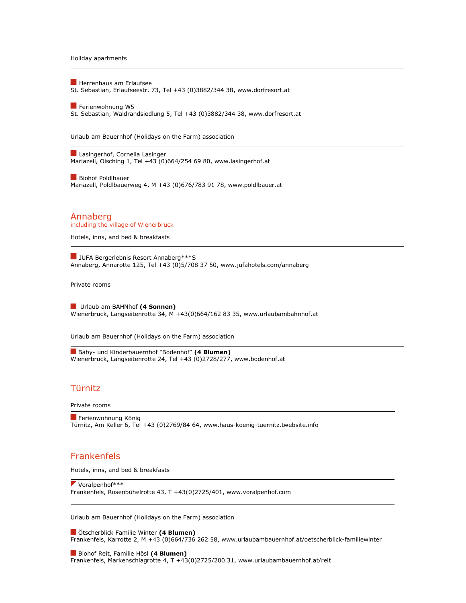Holiday apartments

**Herrenhaus am Erlaufsee** St. Sebastian, Erlaufseestr. 73, Tel +43 (0)3882/344 38, www.dorfresort.at

Ferienwohnung W5 St. Sebastian, Waldrandsiedlung 5, Tel +43 (0)3882/344 38, www.dorfresort.at

Urlaub am Bauernhof (Holidays on the Farm) association

Lasingerhof, Cornelia Lasinger Mariazell, Oisching 1, Tel +43 (0)664/254 69 80, www.lasingerhof.at

Biohof Poldlbauer Mariazell, Poldlbauerweg 4, M +43 (0)676/783 91 78, www.poldlbauer.at

Annaberg including the village of Wienerbruck

Hotels, inns, and bed & breakfasts

**JUFA Bergerlebnis Resort Annaberg\*\*\*S** Annaberg, Annarotte 125, Tel +43 (0)5/708 37 50, www.jufahotels.com/annaberg

Private rooms

Urlaub am BAHNhof (4 Sonnen) Wienerbruck, Langseitenrotte 34, M +43(0)664/162 83 35, www.urlaubambahnhof.at

Urlaub am Bauernhof (Holidays on the Farm) association

Baby- und Kinderbauernhof "Bodenhof" (4 Blumen) Wienerbruck, Langseitenrotte 24, Tel +43 (0)2728/277, www.bodenhof.at

## Türnitz

Private rooms

Ferienwohnung König Türnitz, Am Keller 6, Tel +43 (0)2769/84 64, www.haus-koenig-tuernitz.twebsite.info

## Frankenfels

Hotels, inns, and bed & breakfasts

 $\blacktriangleright$  Voralpenhof\*\*\* Frankenfels, Rosenbühelrotte 43, T +43(0)2725/401, www.voralpenhof.com

Urlaub am Bauernhof (Holidays on the Farm) association

 Ötscherblick Familie Winter (4 Blumen) Frankenfels, Karrotte 2, M +43 (0)664/736 262 58, www.urlaubambauernhof.at/oetscherblick-familiewinter

Biohof Reit, Familie Hösl (4 Blumen) Frankenfels, Markenschlagrotte 4, T +43(0)2725/200 31, www.urlaubambauernhof.at/reit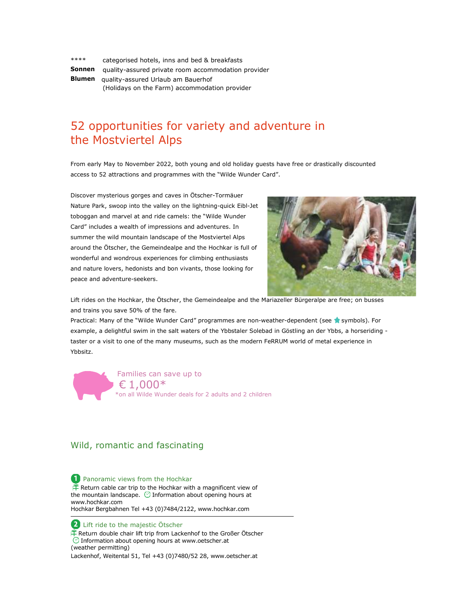| ****   | categorised hotels, inns and bed & breakfasts       |
|--------|-----------------------------------------------------|
| Sonnen | quality-assured private room accommodation provider |
| Blumen | quality-assured Urlaub am Bauerhof                  |
|        | (Holidays on the Farm) accommodation provider       |

# 52 opportunities for variety and adventure in the Mostviertel Alps

From early May to November 2022, both young and old holiday guests have free or drastically discounted access to 52 attractions and programmes with the "Wilde Wunder Card".

Discover mysterious gorges and caves in Ötscher-Tormäuer Nature Park, swoop into the valley on the lightning-quick Eibl-Jet toboggan and marvel at and ride camels: the "Wilde Wunder Card" includes a wealth of impressions and adventures. In summer the wild mountain landscape of the Mostviertel Alps around the Ötscher, the Gemeindealpe and the Hochkar is full of wonderful and wondrous experiences for climbing enthusiasts and nature lovers, hedonists and bon vivants, those looking for peace and adventure-seekers.



Lift rides on the Hochkar, the Ötscher, the Gemeindealpe and the Mariazeller Bürgeralpe are free; on busses and trains you save 50% of the fare.

Practical: Many of the "Wilde Wunder Card" programmes are non-weather-dependent (see **s**ymbols). For example, a delightful swim in the salt waters of the Ybbstaler Solebad in Göstling an der Ybbs, a horseriding taster or a visit to one of the many museums, such as the modern FeRRUM world of metal experience in Ybbsitz.

Families can save up to  $\epsilon$  1,000\* \*on all Wilde Wunder deals for 2 adults and 2 children

## Wild, romantic and fascinating

**1** Panoramic views from the Hochkar  $\mathbb{\hat{F}}$  Return cable car trip to the Hochkar with a magnificent view of the mountain landscape.  $\bigcirc$  Information about opening hours at www.hochkar.com Hochkar Bergbahnen Tel +43 (0)7484/2122, www.hochkar.com

2 Lift ride to the majestic Ötscher Return double chair lift trip from Lackenhof to the Großer Ötscher Information about opening hours at www.oetscher.at (weather permitting) Lackenhof, Weitental 51, Tel +43 (0)7480/52 28, www.oetscher.at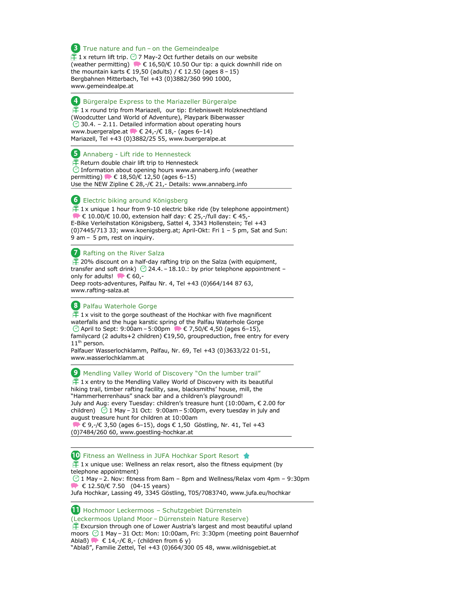**3** True nature and fun – on the Gemeindealpe  $\hat{+}$  1 x return lift trip.  $\odot$  7 May-2 Oct further details on our website (weather permitting)  $\blacklozenge \in 16,50/\epsilon$  10.50 Our tip: a quick downhill ride on the mountain karts € 19,50 (adults) / € 12.50 (ages 8 - 15) Bergbahnen Mitterbach, Tel +43 (0)3882/360 990 1000, www.gemeindealpe.at

#### 4 Bürgeralpe Express to the Mariazeller Bürgeralpe

 $\frac{1}{2}$  1x round trip from Mariazell, our tip: Erlebniswelt Holzknechtland (Woodcutter Land World of Adventure), Playpark Biberwasser  $\odot$  30.4. – 2.11. Detailed information about operating hours www.buergeralpe.at  $\blacktriangleright \in 24, \text{-/}\in 18, \text{-}$  (ages 6-14) Mariazell, Tel +43 (0)3882/25 55, www.buergeralpe.at

#### **5** Annaberg - Lift ride to Hennesteck

 $\mathbb F$  Return double chair lift trip to Hennesteck  $\bigcirc$  Information about opening hours www.annaberg.info (weather permitting) **● €** 18,50/€ 12,50 (ages 6-15) Use the NEW Zipline € 28,-/€ 21,- Details: www.annaberg.info

#### Electric biking around Königsberg

 $\mathbb{P}$  1x unique 1 hour from 9-10 electric bike ride (by telephone appointment)  $\blacktriangleright$   $\in$  10.00/ $\in$  10.00, extension half day:  $\in$  25,-/full day:  $\in$  45,-E-Bike Verleihstation Königsberg, Sattel 4, 3343 Hollenstein; Tel +43 (0)7445/713 33; www.koenigsberg.at; April-Okt: Fri 1 – 5 pm, Sat and Sun: 9 am – 5 pm, rest on inquiry.

#### **Z** Rafting on the River Salza

 $\tilde{\mathbb{P}}$  20% discount on a half-day rafting trip on the Salza (with equipment, transfer and soft drink)  $\odot$  24.4. – 18.10.: by prior telephone appointment – only for adults!  $\bullet$   $\in$  60,-Deep roots-adventures, Palfau Nr. 4, Tel +43 (0)664/144 87 63, www.rafting-salza.at

#### Palfau Waterhole Gorge

 $\frac{1}{11}$  1x visit to the gorge southeast of the Hochkar with five magnificent waterfalls and the huge karstic spring of the Palfau Waterhole Gorge  $\circ$  April to Sept: 9:00am – 5:00pm ● € 7,50/€ 4,50 (ages 6–15), familycard (2 adults+2 children) €19,50, groupreduction, free entry for every 11<sup>th</sup> person.

Palfauer Wasserlochklamm, Palfau, Nr. 69, Tel +43 (0)3633/22 01-51, www.wasserlochklamm.at

#### **9** Mendling Valley World of Discovery "On the lumber trail"

 $\mathbb{f}$  1x entry to the Mendling Valley World of Discovery with its beautiful hiking trail, timber rafting facility, saw, blacksmiths' house, mill, the "Hammerherrenhaus" snack bar and a children's playground! July and Aug: every Tuesday: children's treasure hunt (10:00am, € 2.00 for children)  $\bullet$  1 May – 31 Oct: 9:00am – 5:00pm, every tuesday in july and august treasure hunt for children at 10:00am

 € 9,-/€ 3,50 (ages 6–15), dogs € 1,50 Göstling, Nr. 41, Tel +43 (0)7484/260 60, www.goestling-hochkar.at

## **Ⅰ** Fitness an Wellness in JUFA Hochkar Sport Resort ★

 $\hat{H}$  1x unique use: Wellness an relax resort, also the fitness equipment (by telephone appointment)  $\odot$  1 May – 2. Nov: fitness from 8am – 8pm and Wellness/Relax vom 4pm – 9:30pm  $\bullet$  € 12.50/€ 7.50 (04-15 years) Jufa Hochkar, Lassing 49, 3345 Göstling, T05/7083740, www.jufa.eu/hochkar

Hochmoor Leckermoos – Schutzgebiet Dürrenstein

(Leckermoos Upland Moor – Dürrenstein Nature Reserve)  $E$  Excursion through one of Lower Austria's largest and most beautiful upland moors  $\odot$  1 May – 31 Oct: Mon: 10:00am, Fri: 3:30pm (meeting point Bauernhof Ablaß)  $\bullet \in 14, -\neq 8, -$  (children from 6 y) "Ablaß", Familie Zettel, Tel +43 (0)664/300 05 48, www.wildnisgebiet.at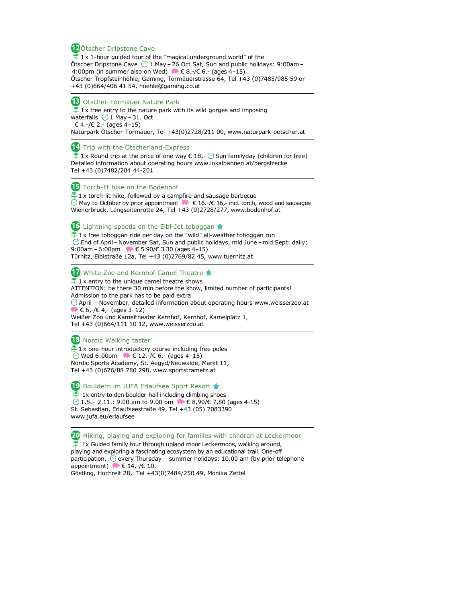#### 12 Ötscher Dripstone Cave

 $\hat{+}$  1x 1-hour guided tour of the "magical underground world" of the Ötscher Dripstone Cave  $\odot$  1 May – 26 Oct Sat, Sun and public holidays: 9:00am – 4:00pm (in summer also on Wed)  $\blacktriangleright \in 8.-\ell \in 6,-$  (ages 4-15) Ötscher Tropfsteinhöhle, Gaming, Tormäuerstrasse 64, Tel +43 (0)7485/985 59 or +43 (0)664/406 41 54, hoehle@gaming.co.at

#### **B** Ötscher-Tormäuer Nature Park

 $\hat{H}$  1x free entry to the nature park with its wild gorges and imposing waterfalls  $\bigcirc$  1 May – 31. Oct € 4.-/€ 2.- (ages 4–15) Naturpark Ötscher-Tormäuer, Tel +43(0)2728/211 00, www.naturpark-oetscher.at

#### 14 Trip with the Ötscherland-Express

 $\tilde{\mathbb{P}}$  1x Round trip at the price of one way  $\epsilon$  18,-  $\heartsuit$  Sun familyday (children for free) Detailed information about operating hours www.lokalbahnen.at/bergstrecke Tel +43 (0)7482/204 44-201

#### **The Torch-lit hike on the Bodenhof**

 1 x torch-lit hike, followed by a campfire and sausage barbecue May to October by prior appointment  $\blacktriangleright \epsilon$  16.-/ $\epsilon$  16,- incl. torch, wood and sausages Wienerbruck, Langseitenrotte 24, Tel +43 (0)2728/277, www.bodenhof.at

**16** Lightning speeds on the Eibl-Jet toboggan

 $\hat{+}$  1 x free toboggan ride per day on the "wild" all-weather toboggan run End of April– November Sat, Sun and public holidays, mid June –mid Sept: daily; 9:00am – 6:00pm  $\bullet \in 5.90 \times 3.30$  (ages 4-15) Türnitz, Eiblstraße 12a, Tel +43 (0)2769/82 45, www.tuernitz.at

#### White Zoo and Kernhof Camel Theatre

 $\frac{1}{1}$  1 x entry to the unique camel theatre shows ATTENTION: be there 30 min before the show, limited number of participants! Admission to the park has to be paid extra  $\odot$  April – November, detailed information about operating hours www.weisserzoo.at  $\bullet \in 6, -\neq 4, -$  (ages 3-12)

Weißer Zoo und Kameltheater Kernhof, Kernhof, Kamelplatz 1, Tel +43 (0)664/111 10 12, www.weisserzoo.at

#### <sup>18</sup> Nordic Walking taster

 $\tilde{\mathbb{F}}$  1 x one-hour introductory course including free poles © Wed 6:00pm  $\bullet$  € 12.-/€ 6.- (ages 4-15) Nordic Sports Academy, St. Aegyd/Neuwalde, Markt 11, Tel +43 (0)676/88 780 298, www.sportstrametz.at

**B** Bouldern im JUFA Erlaufsee Sport Resort

 $\uparrow$  1x entry to den boulder-hall including climbing shoes  $\bigcirc$  1.5.– 2.11.: 9.00 am to 9.00 pm  $\bigcirc$  € 8,90/€ 7,80 (ages 4-15) St. Sebastian, Erlaufseestraße 49, Tel +43 (05) 7083390 www.jufa.eu/erlaufsee

20 Hiking, playing and exploring for families with children at Leckermoor  $\hat{+}$  1x Guided family tour through upland moor Leckermoos, walking around, playing and exploring a fascinating ecosystem by an educational trail. One-off participation.  $\odot$  every Thursday – summer holidays: 10.00 am (by prior telephone appointment)  $\bullet$   $\in$  14,-/ $\in$  10,-Göstling, Hochreit 28, Tel +43(0)7484/250 49, Monika Zettel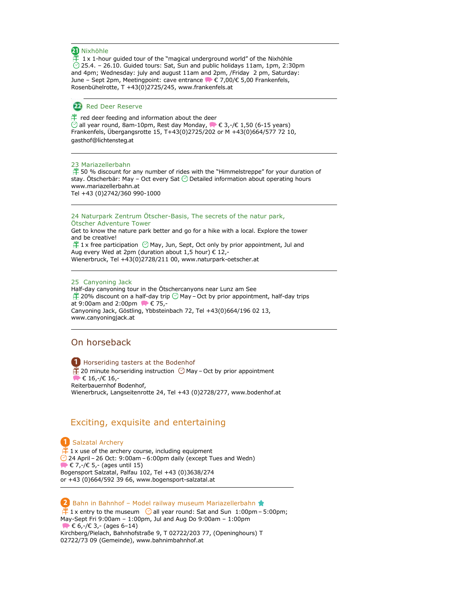#### **21** Nixhöhle

 $\uparrow$  1 x 1-hour guided tour of the "magical underground world" of the Nixhöhle  $\heartsuit$  25.4. – 26.10. Guided tours: Sat, Sun and public holidays 11am, 1pm, 2:30pm and 4pm; Wednesday: july and august 11am and 2pm, /Friday 2 pm, Saturday: June – Sept 2pm, Meetingpoint: cave entrance € 7,00/€ 5,00 Frankenfels, Rosenbühelrotte, T +43(0)2725/245, www.frankenfels.at

#### Red Deer Reserve

 red deer feeding and information about the deer all year round, 8am-10pm, Rest day Monday,  $\blacktriangleright \in 3, \text{-} \ell \in 1,50 \text{ (6-15 years)}$ Frankenfels, Übergangsrotte 15, T+43(0)2725/202 or M +43(0)664/577 72 10, gasthof@lichtensteg.at

#### 23 Mariazellerbahn

 $\hat{F}$  50 % discount for any number of rides with the "Himmelstreppe" for your duration of stay. Ötscherbär: May – Oct every Sat  $\odot$  Detailed information about operating hours www.mariazellerbahn.at Tel +43 (0)2742/360 990-1000

#### 24 Naturpark Zentrum Ötscher-Basis, The secrets of the natur park, Ötscher Adventure Tower

Get to know the nature park better and go for a hike with a local. Explore the tower and be creative!<br> $\stackrel{\text{def}}{\to} 1$  x free participation  $\heartsuit$  May, Jun, Sept, Oct only by prior appointment, Jul and

Aug every Wed at 2pm (duration about 1,5 hour)  $\epsilon$  12,-Wienerbruck, Tel +43(0)2728/211 00, www.naturpark-oetscher.at

25 Canyoning Jack

Half-day canyoning tour in the Ötschercanyons near Lunz am See  $\hat{\mathbb{P}}$  20% discount on a half-day trip  $\odot$  May – Oct by prior appointment, half-day trips at 9:00am and 2:00pm ● € 75,-Canyoning Jack, Göstling, Ybbsteinbach 72, Tel +43(0)664/196 02 13, www.canyoningjack.at

## On horseback

**Horseriding tasters at the Bodenhof**  $\tilde{\mathbb{P}}$  20 minute horseriding instruction  $\heartsuit$  May – Oct by prior appointment  $\blacktriangleright \in 16, -\ell \in 16, -\ell$ Reiterbauernhof Bodenhof, Wienerbruck, Langseitenrotte 24, Tel +43 (0)2728/277, www.bodenhof.at

## Exciting, exquisite and entertaining

**1** Salzatal Archery  $\frac{16}{1}$  1 x use of the archery course, including equipment  $\odot$  24 April – 26 Oct: 9:00am – 6:00pm daily (except Tues and Wedn)  $\blacktriangleright \in 7, \neg \in 5, \neg$  (ages until 15) Bogensport Salzatal, Palfau 102, Tel +43 (0)3638/274 or +43 (0)664/592 39 66, www.bogensport-salzatal.at

2 Bahn in Bahnhof – Model railway museum Mariazellerbahn  $\hat{+}$  1 x entry to the museum  $\odot$  all year round: Sat and Sun 1:00pm – 5:00pm; May-Sept Fri 9:00am – 1:00pm, Jul and Aug Do 9:00am – 1:00pm  $\bullet$   $\in$  6,-/ $\in$  3,- (ages 6-14) Kirchberg/Pielach, Bahnhofstraße 9, T 02722/203 77, (Openinghours) T 02722/73 09 (Gemeinde), www.bahnimbahnhof.at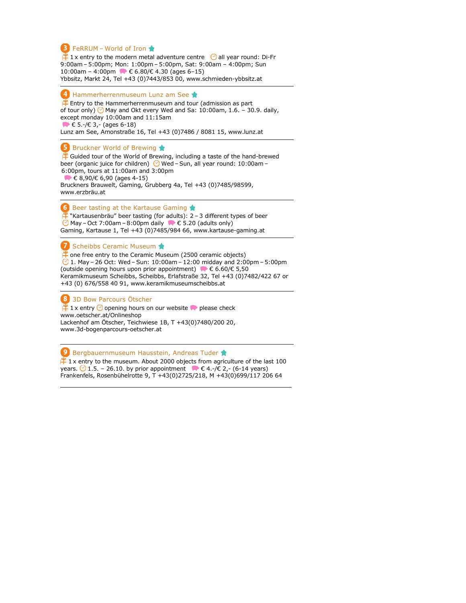#### **B** FeRRUM – World of Iron

 $\mathbb{P}$  1 x entry to the modern metal adventure centre  $\heartsuit$  all year round: Di-Fr 9:00am – 5:00pm; Mon: 1:00pm – 5:00pm, Sat: 9:00am – 4:00pm; Sun 10:00am - 4:00pm ● € 6.80/€ 4.30 (ages 6-15) Ybbsitz, Markt 24, Tel +43 (0)7443/853 00, www.schmieden-ybbsitz.at

#### $\bigoplus$  Hammerherrenmuseum Lunz am See  $\bigstar$

 $\frac{f^2}{f}$  Entry to the Hammerherrenmuseum and tour (admission as part of tour only)  $\bigcirc$  May and Okt every Wed and Sa: 10:00am, 1.6. – 30.9. daily, except monday 10:00am and 11:15am  $\blacktriangleright \in 5.-\ell \in 3,-$  (ages 6-18) Lunz am See, Amonstraße 16, Tel +43 (0)7486 / 8081 15, www.lunz.at

#### **5** Bruckner World of Brewing

 $\frac{4}{1}$  Guided tour of the World of Brewing, including a taste of the hand-brewed beer (organic juice for children) <mark>⊙</mark> Wed – Sun, all year round: 10:00am – 6:00pm, tours at 11:00am and 3:00pm  $\blacktriangleright \epsilon$  8,90/ $\epsilon$  6,90 (ages 4-15) Bruckners Brauwelt, Gaming, Grubberg 4a, Tel +43 (0)7485/98599,

www.erzbräu.at

 $\bullet$  Beer tasting at the Kartause Gaming

"Kartausenbräu" beer tasting (for adults): 2 – 3 different types of beer  $\odot$  May – Oct 7:00am – 8:00pm daily  $\bullet \in$  5.20 (adults only) Gaming, Kartause 1, Tel +43 (0)7485/984 66, www.kartause-gaming.at

#### Scheibbs Ceramic Museum

 $\ddot{\perp}$  one free entry to the Ceramic Museum (2500 ceramic objects)  $\odot$  1. May – 26 Oct: Wed – Sun: 10:00am – 12:00 midday and 2:00pm – 5:00pm (outside opening hours upon prior appointment)  $\blacklozenge \in 6.60 \times 5.50$ Keramikmuseum Scheibbs, Scheibbs, Erlafstraße 32, Tel +43 (0)7482/422 67 or +43 (0) 676/558 40 91, www.keramikmuseumscheibbs.at

8 3D Bow Parcours Ötscher

 $\frac{1}{2}$  1 x entry  $\odot$  opening hours on our website  $\bullet$  please check www.oetscher.at/Onlineshop Lackenhof am Ötscher, Teichwiese 1B, T +43(0)7480/200 20, www.3d-bogenparcours-oetscher.at

#### 9 Bergbauernmuseum Hausstein, Andreas Tuder  $\frac{4}{11}$  1 x entry to the museum. About 2000 objects from agriculture of the last 100 years.  $\odot$  1.5. – 26.10. by prior appointment  $\bullet \in 4$ .-/ $\in$  2,- (6-14 years)

Frankenfels, Rosenbühelrotte 9, T +43(0)2725/218, M +43(0)699/117 206 64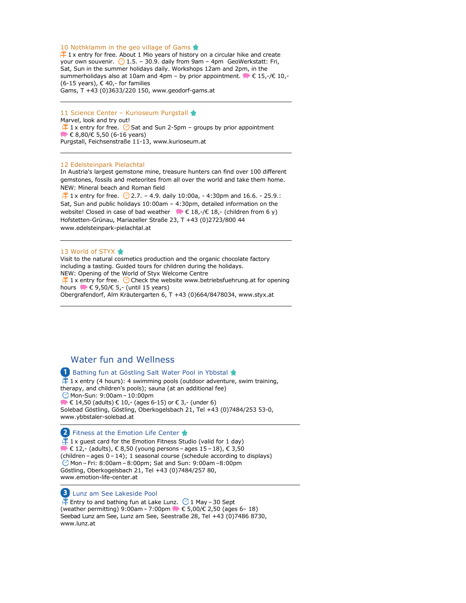#### 10 Nothklamm in the geo village of Gams

 $\uparrow$  1 x entry for free. About 1 Mio years of history on a circular hike and create your own souvenir.  $\bigcirc$  1.5. – 30.9. daily from 9am – 4pm GeoWerkstatt: Fri, Sat, Sun in the summer holidays daily. Workshops 12am and 2pm, in the summerholidays also at 10am and 4pm – by prior appointment.  $\blacktriangleright \in 15, \text{-} \slash \in 10, \text{-}$ (6-15 years),  $\epsilon$  40,- for families Gams, T +43 (0)3633/220 150, www.geodorf-gams.at

11 Science Center - Kurioseum Purgstall Marvel, look and try out!  $\hat{+}$  1 x entry for free.  $\odot$  Sat and Sun 2-5pm – groups by prior appointment  $\blacktriangleright \in$  8,80/ $\in$  5,50 (6-16 years) Purgstall, Feichsenstraße 11-13, www.kurioseum.at

#### 12 Edelsteinpark Pielachtal

In Austria's largest gemstone mine, treasure hunters can find over 100 different gemstones, fossils and meteorites from all over the world and take them home. NEW: Mineral beach and Roman field

 $\hat{+}$  1 x entry for free.  $\odot$  2.7. – 4.9. daily 10:00a, - 4:30pm and 16.6. - 25.9.: Sat, Sun and public holidays 10:00am – 4:30pm, detailed information on the website! Closed in case of bad weather  $\bullet \in 18, -\ell 18, -$  (children from 6 y) Hofstetten-Grünau, Mariazeller Straße 23, T +43 (0)2723/800 44 www.edelsteinpark-pielachtal.at

#### 13 World of STYX

Visit to the natural cosmetics production and the organic chocolate factory including a tasting. Guided tours for children during the holidays. NEW: Opening of the World of Styx Welcome Centre  $\hat{+}$  1 x entry for free.  $\odot$  Check the website www.betriebsfuehrung.at for opening hours  $\blacktriangleright \epsilon$  9,50/ $\epsilon$  5,- (until 15 years) Obergrafendorf, Alm Kräutergarten 6, T +43 (0)664/8478034, www.styx.at

## Water fun and Wellness

#### **1** Bathing fun at Göstling Salt Water Pool in Ybbstal ★

 $\hat{+}$  1 x entry (4 hours): 4 swimming pools (outdoor adventure, swim training, therapy, and children's pools); sauna (at an additional fee) Mon-Sun: 9:00am – 10:00pm  $\blacktriangleright \in 14,50$  (adults)  $\in 10,$ - (ages 6-15) or  $\in 3,$ - (under 6) Solebad Göstling, Göstling, Oberkogelsbach 21, Tel +43 (0)7484/253 53-0, www.ybbstaler-solebad.at

#### 2 Fitness at the Emotion Life Center

 $\hat{+}$  1 x guest card for the Emotion Fitness Studio (valid for 1 day)  $\blacktriangleright \in$  12,- (adults),  $\in$  8,50 (young persons – ages 15 – 18),  $\in$  3,50 (children – ages 0 – 14); 1 seasonal course (schedule according to displays) Mon – Fri: 8:00am– 8:00pm; Sat and Sun: 9:00am –8:00pm Göstling, Oberkogelsbach 21, Tel +43 (0)7484/257 80, www.emotion-life-center.at

#### Lunz am See Lakeside Pool

 $\mathbb{\tilde{F}}$  Entry to and bathing fun at Lake Lunz.  $\odot$  1 May – 30 Sept (weather permitting) 9:00am – 7:00pm  $\blacktriangleright \in 5,00/\epsilon$  2,50 (ages 6– 18) Seebad Lunz am See, Lunz am See, Seestraße 28, Tel +43 (0)7486 8730, www.lunz.at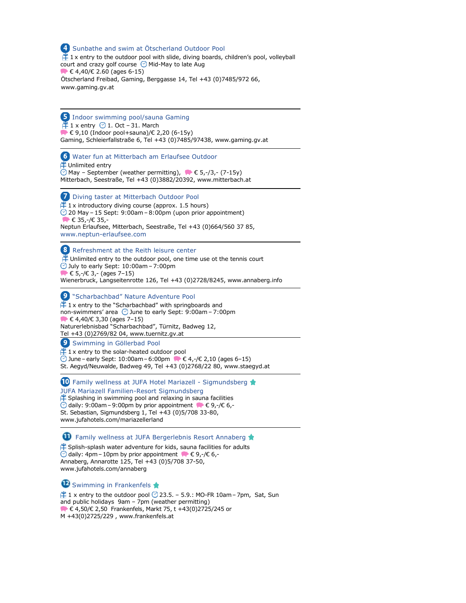4 Sunbathe and swim at Ötscherland Outdoor Pool  $\hat{\mathbb{1}}$  1 x entry to the outdoor pool with slide, diving boards, children's pool, volleyball court and crazy golf course  $\odot$  Mid-May to late Aug  $\blacktriangleright$   $\in$  4,40/ $\in$  2.60 (ages 6-15) Ötscherland Freibad, Gaming, Berggasse 14, Tel +43 (0)7485/972 66, www.gaming.gv.at

**5** Indoor swimming pool/sauna Gaming  $\mathbb{F}$  1 x entry  $\odot$  1. Oct – 31. March  $€ 9,10$  (Indoor pool+sauna)/€ 2,20 (6-15y) Gaming, Schleierfallstraße 6, Tel +43 (0)7485/97438, www.gaming.gv.at

Water fun at Mitterbach am Erlaufsee Outdoor **\\timese** Unlimited entry  $\circledcirc$  May – September (weather permitting),  $\bullet \bullet$  5,-/3,- (7-15y) Mitterbach, Seestraße, Tel +43 (0)3882/20392, www.mitterbach.at

**Diving taster at Mitterbach Outdoor Pool**  $\hat{H}$  1 x introductory diving course (approx. 1.5 hours)  $\odot$  20 May – 15 Sept: 9:00am – 8:00pm (upon prior appointment)  $\bullet$   $\in$  35,-/ $\in$  35,-Neptun Erlaufsee, Mitterbach, Seestraße, Tel +43 (0)664/560 37 85, www.neptun-erlaufsee.com

8 Refreshment at the Reith leisure center  $\hat{P}$  Unlimited entry to the outdoor pool, one time use ot the tennis court

 $\bigcirc$  July to early Sept: 10:00am - 7:00pm  $\blacktriangleright \in 5, -\ell \in 3, -$  (ages 7-15) Wienerbruck, Langseitenrotte 126, Tel +43 (0)2728/8245, www.annaberg.info

**9** "Scharbachbad" Nature Adventure Pool  $\stackrel{\text{\tiny def}}{+}$  1 x entry to the "Scharbachbad" with springboards and non-swimmers' area  $\odot$  June to early Sept: 9:00am – 7:00pm  $\blacktriangleright \in$  4,40/ $\in$  3,30 (ages 7-15) Naturerlebnisbad "Scharbachbad", Türnitz, Badweg 12, Tel +43 (0)2769/82 04, www.tuernitz.gv.at

**9** Swimming in Göllerbad Pool

 1 x entry to the solar-heated outdoor pool June – early Sept: 10:00am – 6:00pm  $\bullet$  € 4,-/€ 2,10 (ages 6–15) St. Aegyd/Neuwalde, Badweg 49, Tel +43 (0)2768/22 80, www.staegyd.at

**10** Family wellness at JUFA Hotel Mariazell - Sigmundsberg

JUFA Mariazell Familien-Resort Sigmundsberg Splashing in swimming pool and relaxing in sauna facilities daily: 9:00am – 9:00pm by prior appointment  $\blacklozenge \in 9, -\ell \in 6, -\ell$ St. Sebastian, Sigmundsberg 1, Tel +43 (0)5/708 33-80, www.jufahotels.com/mariazellerland

**T** Family wellness at JUFA Bergerlebnis Resort Annaberg

 $\hat{P}$  Splish-splash water adventure for kids, sauna facilities for adults  $\odot$  daily: 4pm – 10pm by prior appointment  $\blacktriangleright \in$  9,-/ $\in$  6,-Annaberg, Annarotte 125, Tel +43 (0)5/708 37-50, www.jufahotels.com/annaberg

Swimming in Frankenfels

 $\hat{H}$  1 x entry to the outdoor pool  $\odot$  23.5. – 5.9.: MO-FR 10am – 7pm, Sat, Sun and public holidays 9am – 7pm (weather permitting) € 4,50/€ 2,50 Frankenfels, Markt 75, t +43(0)2725/245 or M +43(0)2725/229 , www.frankenfels.at